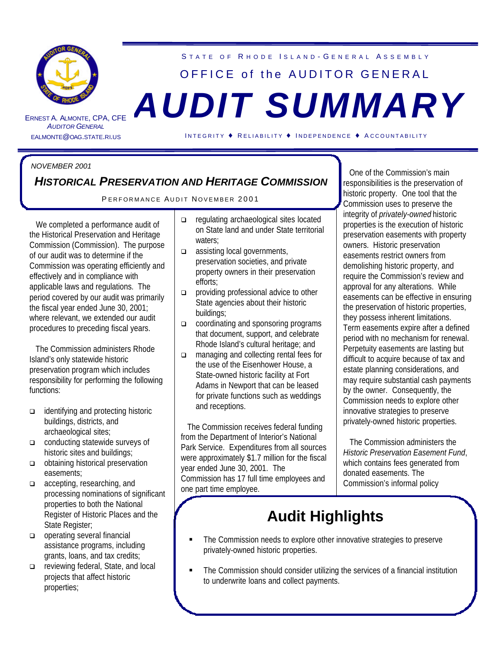

ERNEST A. ALMONTE **AUDITOR GENERAL** 

# STATE OF RHODE ISLAND-GENERAL ASSEMBLY OFFICE of the AUDITOR GENERAL , CPA, CFE *AUDIT SUMMARY*

EALMONTE@OAG.STATE.RI.US I NTEGRITY ♦ R ELIABILITY ♦ I NDEPENDENCE ♦ A CCOUNTABILITY

#### *NOVEMBER 2001*

### *HISTORICAL PRESERVATION AND HERITAGE COMMISSION*

#### PERFORMANCE AUDIT NOVEMBER 2001

 We completed a performance audit of the Historical Preservation and Heritage Commission (Commission). The purpose of our audit was to determine if the Commission was operating efficiently and effectively and in compliance with applicable laws and regulations. The period covered by our audit was primarily the fiscal year ended June 30, 2001; where relevant, we extended our audit procedures to preceding fiscal years.

 The Commission administers Rhode Island's only statewide historic preservation program which includes responsibility for performing the following functions:

- q identifying and protecting historic buildings, districts, and archaeological sites;
- conducting statewide surveys of historic sites and buildings;
- obtaining historical preservation easements;
- q accepting, researching, and processing nominations of significant properties to both the National Register of Historic Places and the State Register;
- operating several financial assistance programs, including grants, loans, and tax credits;
- q reviewing federal, State, and local projects that affect historic properties;
- q regulating archaeological sites located on State land and under State territorial waters:
- q assisting local governments, preservation societies, and private property owners in their preservation efforts;
- providing professional advice to other State agencies about their historic buildings;
- coordinating and sponsoring programs that document, support, and celebrate Rhode Island's cultural heritage; and
- □ managing and collecting rental fees for the use of the Eisenhower House, a State-owned historic facility at Fort Adams in Newport that can be leased for private functions such as weddings and receptions.

 The Commission receives federal funding from the Department of Interior's National Park Service. Expenditures from all sources were approximately \$1.7 million for the fiscal year ended June 30, 2001. The Commission has 17 full time employees and one part time employee.

 One of the Commission's main responsibilities is the preservation of historic property. One tool that the Commission uses to preserve the integrity of *privately-owned* historic properties is the execution of historic preservation easements with property owners. Historic preservation easements restrict owners from demolishing historic property, and require the Commission's review and approval for any alterations. While easements can be effective in ensuring the preservation of historic properties, they possess inherent limitations. Term easements expire after a defined period with no mechanism for renewal. Perpetuity easements are lasting but difficult to acquire because of tax and estate planning considerations, and may require substantial cash payments by the owner. Consequently, the Commission needs to explore other innovative strategies to preserve privately-owned historic properties.

 The Commission administers the *Historic Preservation Easement Fund*, which contains fees generated from donated easements. The Commission's informal policy

# **Audit Highlights**

- The Commission needs to explore other innovative strategies to preserve privately-owned historic properties.
- The Commission should consider utilizing the services of a financial institution to underwrite loans and collect payments.